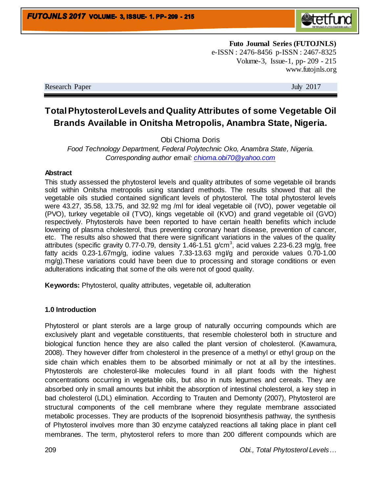

**Futo Journal Series (FUTOJNLS)** e-ISSN : 2476-8456 p-ISSN : 2467-8325 Volume-3, Issue-1, pp- 209 - 215 www.futojnls.org

Research Paper July 2017

# **Total Phytosterol Levels and Quality Attributes of some Vegetable Oil Brands Available in Onitsha Metropolis, Anambra State, Nigeria.**

Obi Chioma Doris

*Food Technology Department, Federal Polytechnic Oko, Anambra State, Nigeria. Corresponding author email: [chioma.obi70@yahoo.com](mailto:Chioma.obi70@yahoo.com)*

#### **Abstract**

This study assessed the phytosterol levels and quality attributes of some vegetable oil brands sold within Onitsha metropolis using standard methods. The results showed that all the vegetable oils studied contained significant levels of phytosterol. The total phytosterol levels were 43.27, 35.58, 13.75, and 32.92 mg /ml for ideal vegetable oil (IVO), power vegetable oil (PVO), turkey vegetable oil (TVO), kings vegetable oil (KVO) and grand vegetable oil (GVO) respectively. Phytosterols have been reported to have certain health benefits which include lowering of plasma cholesterol, thus preventing coronary heart disease, prevention of cancer, etc. The results also showed that there were significant variations in the values of the quality attributes (specific gravity 0.77-0.79, density 1.46-1.51 g/cm<sup>3</sup>, acid values 2.23-6.23 mg/g, free fatty acids 0.23-1.67mg/g, iodine values 7.33-13.63 mgI/g and peroxide values 0.70-1.00 mg/g).These variations could have been due to processing and storage conditions or even adulterations indicating that some of the oils were not of good quality.

**Keywords:** Phytosterol, quality attributes, vegetable oil, adulteration

## **1.0 Introduction**

Phytosterol or plant sterols are a large group of naturally occurring compounds which are exclusively plant and vegetable constituents, that resemble cholesterol both in structure and biological function hence they are also called the plant version of cholesterol. (Kawamura, 2008). They however differ from cholesterol in the presence of a methyl or ethyl group on the side chain which enables them to be absorbed minimally or not at all by the intestines. Phytosterols are cholesterol-like molecules found in all plant foods with the highest concentrations occurring in vegetable oils, but also in nuts legumes and cereals. They are absorbed only in small amounts but inhibit the absorption of intestinal cholesterol, a key step in bad cholesterol (LDL) elimination. According to Trauten and Demonty (2007), Phytosterol are structural components of the cell membrane where they regulate membrane associated metabolic processes. They are products of the Isoprenoid biosynthesis pathway, the synthesis of Phytosterol involves more than 30 enzyme catalyzed reactions all taking place in plant cell membranes. The term, phytosterol refers to more than 200 different compounds which are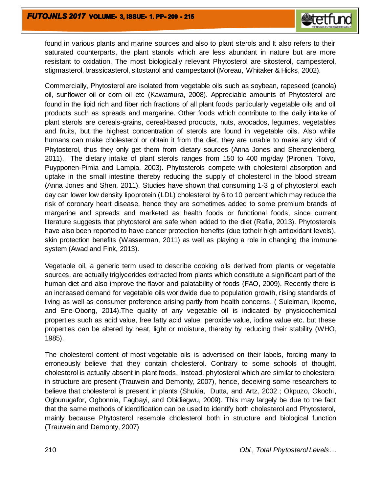found in various plants and marine sources and also to plant sterols and It also refers to their saturated counterparts, the plant stanols which are less abundant in nature but are more resistant to oxidation. The most biologically relevant Phytosterol are sitosterol, campesterol, stigmasterol, brassicasterol, sitostanol and campestanol (Moreau, Whitaker & Hicks, 2002).

Commercially, Phytosterol are isolated from vegetable oils such as soybean, rapeseed (canola) oil, sunflower oil or corn oil etc (Kawamura, 2008). Appreciable amounts of Phytosterol are found in the lipid rich and fiber rich fractions of all plant foods particularly vegetable oils and oil products such as spreads and margarine. Other foods which contribute to the daily intake of plant sterols are cereals-grains, cereal-based products, nuts, avocados, legumes, vegetables and fruits, but the highest concentration of sterols are found in vegetable oils. Also while humans can make cholesterol or obtain it from the diet, they are unable to make any kind of Phytosterol, thus they only get them from dietary sources (Anna Jones and Shenzolenberg, 2011). The dietary intake of plant sterols ranges from 150 to 400 mg/day (Pironen, Toivo, Puypponen-Pimia and Lampia, 2003). Phytosterols compete with cholesterol absorption and uptake in the small intestine thereby reducing the supply of cholesterol in the blood stream (Anna Jones and Shen, 2011). Studies have shown that consuming 1-3 g of phytosterol each day can lower low density lipoprotein (LDL) cholesterol by 6 to 10 percent which may reduce the risk of coronary heart disease, hence they are sometimes added to some premium brands of margarine and spreads and marketed as health foods or functional foods, since current literature suggests that phytosterol are safe when added to the diet (Rafia, 2013). Phytosterols have also been reported to have cancer protection benefits (due totheir high antioxidant levels), skin protection benefits (Wasserman, 2011) as well as playing a role in changing the immune system (Awad and Fink, 2013).

Vegetable oil, a generic term used to describe cooking oils derived from plants or vegetable sources, are actually triglycerides extracted from plants which constitute a significant part of the human diet and also improve the flavor and palatability of foods (FAO, 2009). Recently there is an increased demand for vegetable oils worldwide due to population growth, rising standards of living as well as consumer preference arising partly from health concerns. ( Suleiman, Ikpeme, and Ene-Obong, 2014).The quality of any vegetable oil is indicated by physicochemical properties such as acid value, free fatty acid value, peroxide value, iodine value etc. but these properties can be altered by heat, light or moisture, thereby by reducing their stability (WHO, 1985).

The cholesterol content of most vegetable oils is advertised on their labels, forcing many to erroneously believe that they contain cholesterol. Contrary to some schools of thought, cholesterol is actually absent in plant foods. Instead, phytosterol which are similar to cholesterol in structure are present (Trauwein and Demonty, 2007), hence, deceiving some researchers to believe that cholesterol is present in plants (Shukia, Dutta, and Artz, 2002 ; Okpuzo, Okochi, Ogbunugafor, Ogbonnia, Fagbayi, and Obidiegwu, 2009). This may largely be due to the fact that the same methods of identification can be used to identify both cholesterol and Phytosterol, mainly because Phytosterol resemble cholesterol both in structure and biological function (Trauwein and Demonty, 2007)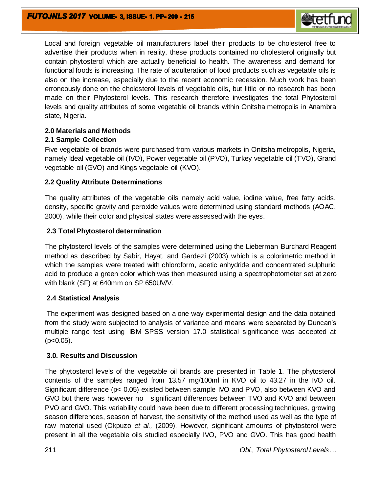

Local and foreign vegetable oil manufacturers label their products to be cholesterol free to advertise their products when in reality, these products contained no cholesterol originally but contain phytosterol which are actually beneficial to health. The awareness and demand for functional foods is increasing. The rate of adulteration of food products such as vegetable oils is also on the increase, especially due to the recent economic recession. Much work has been erroneously done on the cholesterol levels of vegetable oils, but little or no research has been made on their Phytosterol levels. This research therefore investigates the total Phytosterol levels and quality attributes of some vegetable oil brands within Onitsha metropolis in Anambra state, Nigeria.

## **2.0 Materials and Methods**

## **2.1 Sample Collection**

Five vegetable oil brands were purchased from various markets in Onitsha metropolis, Nigeria, namely Ideal vegetable oil (IVO), Power vegetable oil (PVO), Turkey vegetable oil (TVO), Grand vegetable oil (GVO) and Kings vegetable oil (KVO).

## **2.2 Quality Attribute Determinations**

The quality attributes of the vegetable oils namely acid value, iodine value, free fatty acids, density, specific gravity and peroxide values were determined using standard methods (AOAC, 2000), while their color and physical states were assessed with the eyes.

## **2.3 Total Phytosterol determination**

The phytosterol levels of the samples were determined using the Lieberman Burchard Reagent method as described by Sabir, Hayat, and Gardezi (2003) which is a colorimetric method in which the samples were treated with chloroform, acetic anhydride and concentrated sulphuric acid to produce a green color which was then measured using a spectrophotometer set at zero with blank (SF) at 640mm on SP 650UV/V.

# **2.4 Statistical Analysis**

The experiment was designed based on a one way experimental design and the data obtained from the study were subjected to analysis of variance and means were separated by Duncan's multiple range test using IBM SPSS version 17.0 statistical significance was accepted at  $(p<0.05)$ .

## **3.0. Results and Discussion**

The phytosterol levels of the vegetable oil brands are presented in Table 1. The phytosterol contents of the samples ranged from 13.57 mg/100ml in KVO oil to 43.27 in the IVO oil. Significant difference (p< 0.05) existed between sample IVO and PVO, also between KVO and GVO but there was however no significant differences between TVO and KVO and between PVO and GVO. This variability could have been due to different processing techniques, growing season differences, season of harvest, the sensitivity of the method used as well as the type of raw material used (Okpuzo *et al.,* (2009). However, significant amounts of phytosterol were present in all the vegetable oils studied especially IVO, PVO and GVO. This has good health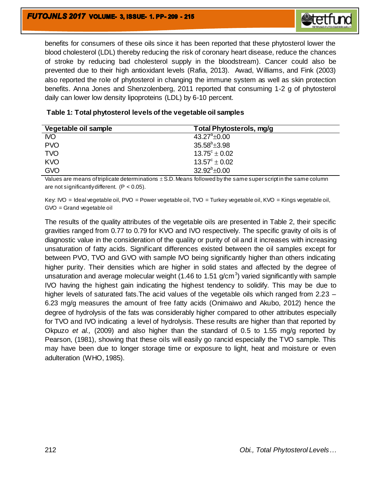

benefits for consumers of these oils since it has been reported that these phytosterol lower the blood cholesterol (LDL) thereby reducing the risk of coronary heart disease, reduce the chances of stroke by reducing bad cholesterol supply in the bloodstream). Cancer could also be prevented due to their high antioxidant levels (Rafia, 2013). Awad, Williams, and Fink (2003) also reported the role of phytosterol in changing the immune system as well as skin protection benefits. Anna Jones and Shenzolenberg, 2011 reported that consuming 1-2 g of phytosterol daily can lower low density lipoproteins (LDL) by 6-10 percent.

| Vegetable oil sample | Total Phytosterols, mg/g |  |
|----------------------|--------------------------|--|
| <b>NO</b>            | $43.27^{\circ}$ ±0.00    |  |
| <b>PVO</b>           | $35.58^b \pm 3.98$       |  |
| <b>TVO</b>           | $13.75^{\circ} \pm 0.02$ |  |
| <b>KVO</b>           | $13.57^{\circ} \pm 0.02$ |  |
| <b>GVO</b>           | $32.92^b \pm 0.00$       |  |

|  | Table 1: Total phytosterol levels of the vegetable oil samples |
|--|----------------------------------------------------------------|
|--|----------------------------------------------------------------|

Values are means of triplicate determinations  $\pm$  S.D. Means followed by the same super script in the same column are not significantly different.  $(P < 0.05)$ .

Key: IVO = Ideal vegetable oil, PVO = Power vegetable oil, TVO = Turkey vegetable oil, KVO = Kings vegetable oil, GVO = Grand vegetable oil

The results of the quality attributes of the vegetable oils are presented in Table 2, their specific gravities ranged from 0.77 to 0.79 for KVO and IVO respectively. The specific gravity of oils is of diagnostic value in the consideration of the quality or purity of oil and it increases with increasing unsaturation of fatty acids. Significant differences existed between the oil samples except for between PVO, TVO and GVO with sample IVO being significantly higher than others indicating higher purity. Their densities which are higher in solid states and affected by the degree of unsaturation and average molecular weight (1.46 to 1.51 g/cm<sup>3</sup>) varied significantly with sample IVO having the highest gain indicating the highest tendency to solidify. This may be due to higher levels of saturated fats.The acid values of the vegetable oils which ranged from 2.23 – 6.23 mg/g measures the amount of free fatty acids (Onimaiwo and Akubo, 2012) hence the degree of hydrolysis of the fats was considerably higher compared to other attributes especially for TVO and IVO indicating a level of hydrolysis. These results are higher than that reported by Okpuzo *et al.,* (2009) and also higher than the standard of 0.5 to 1.55 mg/g reported by Pearson, (1981), showing that these oils will easily go rancid especially the TVO sample. This may have been due to longer storage time or exposure to light, heat and moisture or even adulteration (WHO, 1985).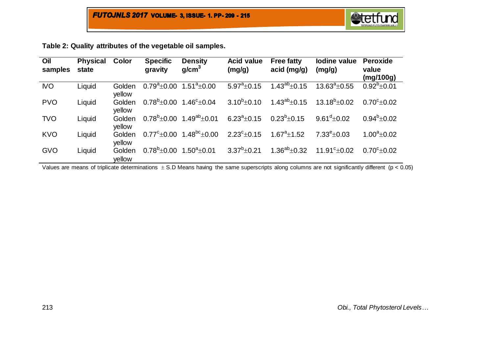|  | Table 2: Quality attributes of the vegetable oil samples. |
|--|-----------------------------------------------------------|
|--|-----------------------------------------------------------|

| Oil<br>samples | <b>Physical</b><br>state | Color            | <b>Specific</b><br>gravity   | <b>Density</b><br>g/cm <sup>3</sup>         | <b>Acid value</b><br>(mg/g) | <b>Free fatty</b><br>acid (mg/g) | lodine value<br>(mg/g)    | <b>Peroxide</b><br>value<br>(mg/100g) |
|----------------|--------------------------|------------------|------------------------------|---------------------------------------------|-----------------------------|----------------------------------|---------------------------|---------------------------------------|
| <b>NO</b>      | Liquid                   | Golden<br>yellow | $0.79^{\rm a}$ ±0.00         | $1.51^a \pm 0.00$                           | $5.97^a \pm 0.15$           | $1.43^{ab}$ ± 0.15               | $13.63^a \pm 0.55$        | $0.92^b \pm 0.01$                     |
| <b>PVO</b>     | Liquid                   | Golden<br>yellow | $0.78^{\mathrm{b}}{\pm}0.00$ | $1.46^{\circ}$ ±0.04                        | $3.10^{b} \pm 0.10$         | $1.43^{ab}$ ± 0.15               | $13.18^{b} \pm 0.02$      | $0.70^{\circ}$ ±0.02                  |
| <b>TVO</b>     | Liquid                   | Golden<br>yellow |                              | $0.78^{b}$ + 0.00 1.49 <sup>ab</sup> + 0.01 | $6.23^a \pm 0.15$           | $0.23^{b}$ + 0.15                | $9.61^{\rm d}$ ±0.02      | $0.94^b \pm 0.02$                     |
| <b>KVO</b>     | Liquid                   | Golden<br>yellow | $0.77^{\rm c}$ ±0.00         | $1.48^{\mathrm{bc}}\pm0.00$                 | $2.23^{\circ}$ ±0.15        | $1.67^a \pm 1.52$                | $7.33^{\circ}$ ±0.03      | $1.00^a \pm 0.02$                     |
| <b>GVO</b>     | Liquid                   | Golden<br>vellow | $0.78^{b}$ ± 0.00            | $1.50^a \pm 0.01$                           | $3.37^{b} \pm 0.21$         | $1.36^{ab} \pm 0.32$             | 11.91 $\textdegree$ ±0.02 | $0.70^{\circ}$ ± 0.02                 |

Values are means of triplicate determinations  $\pm$  S.D Means having the same superscripts along columns are not significantly different ( $p$  < 0.05)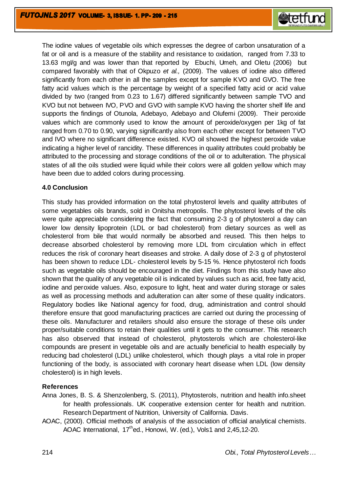

The iodine values of vegetable oils which expresses the degree of carbon unsaturation of a fat or oil and is a measure of the stability and resistance to oxidation, ranged from 7.33 to 13.63 mg $V$ g and was lower than that reported by Ebuchi, Umeh, and Oletu (2006) but compared favorably with that of Okpuzo *et al.,* (2009). The values of iodine also differed significantly from each other in all the samples except for sample KVO and GVO. The free fatty acid values which is the percentage by weight of a specified fatty acid or acid value divided by two (ranged from 0.23 to 1.67) differed significantly between sample TVO and KVO but not between IVO, PVO and GVO with sample KVO having the shorter shelf life and supports the findings of Otunola, Adebayo, Adebayo and Olufemi (2009). Their peroxide values which are commonly used to know the amount of peroxide/oxygen per 1kg of fat ranged from 0.70 to 0.90, varying significantly also from each other except for between TVO and IVO where no significant difference existed. KVO oil showed the highest peroxide value indicating a higher level of rancidity. These differences in quality attributes could probably be attributed to the processing and storage conditions of the oil or to adulteration. The physical states of all the oils studied were liquid while their colors were all golden yellow which may have been due to added colors during processing.

#### **4.0 Conclusion**

This study has provided information on the total phytosterol levels and quality attributes of some vegetables oils brands, sold in Onitsha metropolis. The phytosterol levels of the oils were quite appreciable considering the fact that consuming 2-3 g of phytosterol a day can lower low density lipoprotein (LDL or bad cholesterol) from dietary sources as well as cholesterol from bile that would normally be absorbed and reused. This then helps to decrease absorbed cholesterol by removing more LDL from circulation which in effect reduces the risk of coronary heart diseases and stroke. A daily dose of 2-3 g of phytosterol has been shown to reduce LDL- cholesterol levels by 5-15 %. Hence phytosterol rich foods such as vegetable oils should be encouraged in the diet. Findings from this study have also shown that the quality of any vegetable oil is indicated by values such as acid, free fatty acid, iodine and peroxide values. Also, exposure to light, heat and water during storage or sales as well as processing methods and adulteration can alter some of these quality indicators. Regulatory bodies like National agency for food, drug, administration and control should therefore ensure that good manufacturing practices are carried out during the processing of these oils. Manufacturer and retailers should also ensure the storage of these oils under proper/suitable conditions to retain their qualities until it gets to the consumer. This research has also observed that instead of cholesterol, phytosterols which are cholesterol-like compounds are present in vegetable oils and are actually beneficial to health especially by reducing bad cholesterol (LDL) unlike cholesterol, which though plays a vital role in proper functioning of the body, is associated with coronary heart disease when LDL (low density cholesterol) is in high levels.

## **References**

- Anna Jones, B. S. & Shenzolenberg, S. (2011), Phytosterols, nutrition and health info.sheet for health professionals. UK cooperative extension center for health and nutrition. Research Department of Nutrition, University of California. Davis.
- AOAC, (2000). Official methods of analysis of the association of official analytical chemists. AOAC International, 17<sup>th</sup>ed., Honowi, W. (ed.), Vols1 and 2,45,12-20.